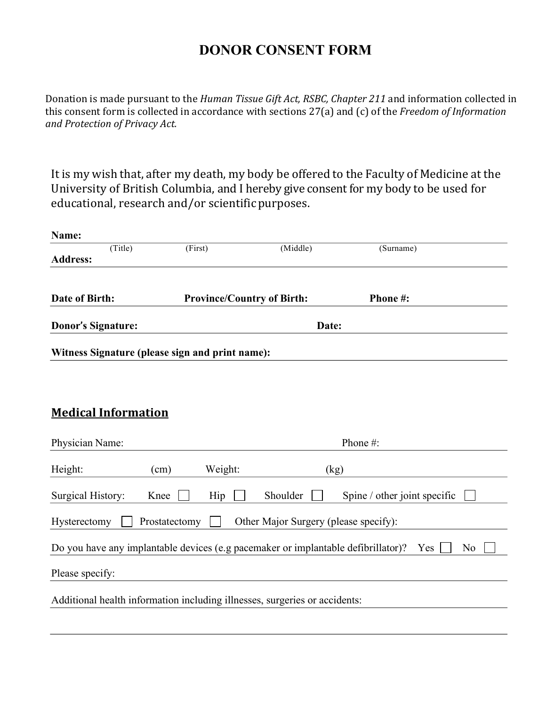## **DONOR CONSENT FORM**

Donation is made pursuant to the *Human Tissue Gift Act, RSBC, Chapter 211* and information collected in this consent form is collected in accordance with sections 27(a) and (c) of the *Freedom of Information and Protection of Privacy Act.* 

It is my wish that, after my death, my body be offered to the Faculty of Medicine at the University of British Columbia, and I hereby give consent for my body to be used for educational, research and/or scientific purposes.

| Name:                                                                                                      |      |                                   |          |                              |  |  |
|------------------------------------------------------------------------------------------------------------|------|-----------------------------------|----------|------------------------------|--|--|
| (Title)<br><b>Address:</b>                                                                                 |      | (First)                           | (Middle) | (Surname)                    |  |  |
|                                                                                                            |      |                                   |          |                              |  |  |
| Date of Birth:                                                                                             |      | <b>Province/Country of Birth:</b> |          | Phone #:                     |  |  |
| <b>Donor's Signature:</b>                                                                                  |      | Date:                             |          |                              |  |  |
| Witness Signature (please sign and print name):                                                            |      |                                   |          |                              |  |  |
|                                                                                                            |      |                                   |          |                              |  |  |
|                                                                                                            |      |                                   |          |                              |  |  |
| <b>Medical Information</b>                                                                                 |      |                                   |          |                              |  |  |
| Physician Name:                                                                                            |      |                                   | Phone#:  |                              |  |  |
| Height:                                                                                                    | (cm) | Weight:                           | (kg)     |                              |  |  |
| Surgical History:                                                                                          | Knee | Hip                               | Shoulder | Spine / other joint specific |  |  |
| Hysterectomy<br>Prostatectomy<br>Other Major Surgery (please specify):                                     |      |                                   |          |                              |  |  |
| Do you have any implantable devices (e.g pacemaker or implantable defibrillator)?<br>Yes<br>N <sub>o</sub> |      |                                   |          |                              |  |  |
| Please specify:                                                                                            |      |                                   |          |                              |  |  |
| Additional health information including illnesses, surgeries or accidents:                                 |      |                                   |          |                              |  |  |
|                                                                                                            |      |                                   |          |                              |  |  |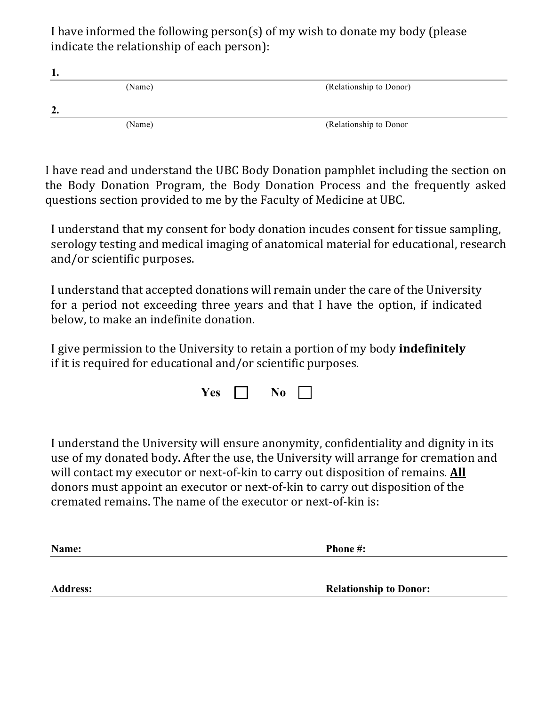I have informed the following person(s) of my wish to donate my body (please indicate the relationship of each person):

| . .     |        |                         |
|---------|--------|-------------------------|
|         | (Name) | (Relationship to Donor) |
| ി<br>′∙ |        |                         |
|         | (Name) | (Relationship to Donor  |

I have read and understand the UBC Body Donation pamphlet including the section on the Body Donation Program, the Body Donation Process and the frequently asked questions section provided to me by the Faculty of Medicine at UBC.

I understand that my consent for body donation incudes consent for tissue sampling, serology testing and medical imaging of anatomical material for educational, research and/or scientific purposes.

I understand that accepted donations will remain under the care of the University for a period not exceeding three years and that I have the option, if indicated below, to make an indefinite donation.

I give permission to the University to retain a portion of my body **indefinitely** if it is required for educational and/or scientific purposes.

| es | NΛ |  |
|----|----|--|
|----|----|--|

I understand the University will ensure anonymity, confidentiality and dignity in its use of my donated body. After the use, the University will arrange for cremation and will contact my executor or next-of-kin to carry out disposition of remains. All donors must appoint an executor or next-of-kin to carry out disposition of the cremated remains. The name of the executor or next-of-kin is:

| Name:           | <b>Phone #:</b>               |
|-----------------|-------------------------------|
|                 |                               |
| <b>Address:</b> | <b>Relationship to Donor:</b> |